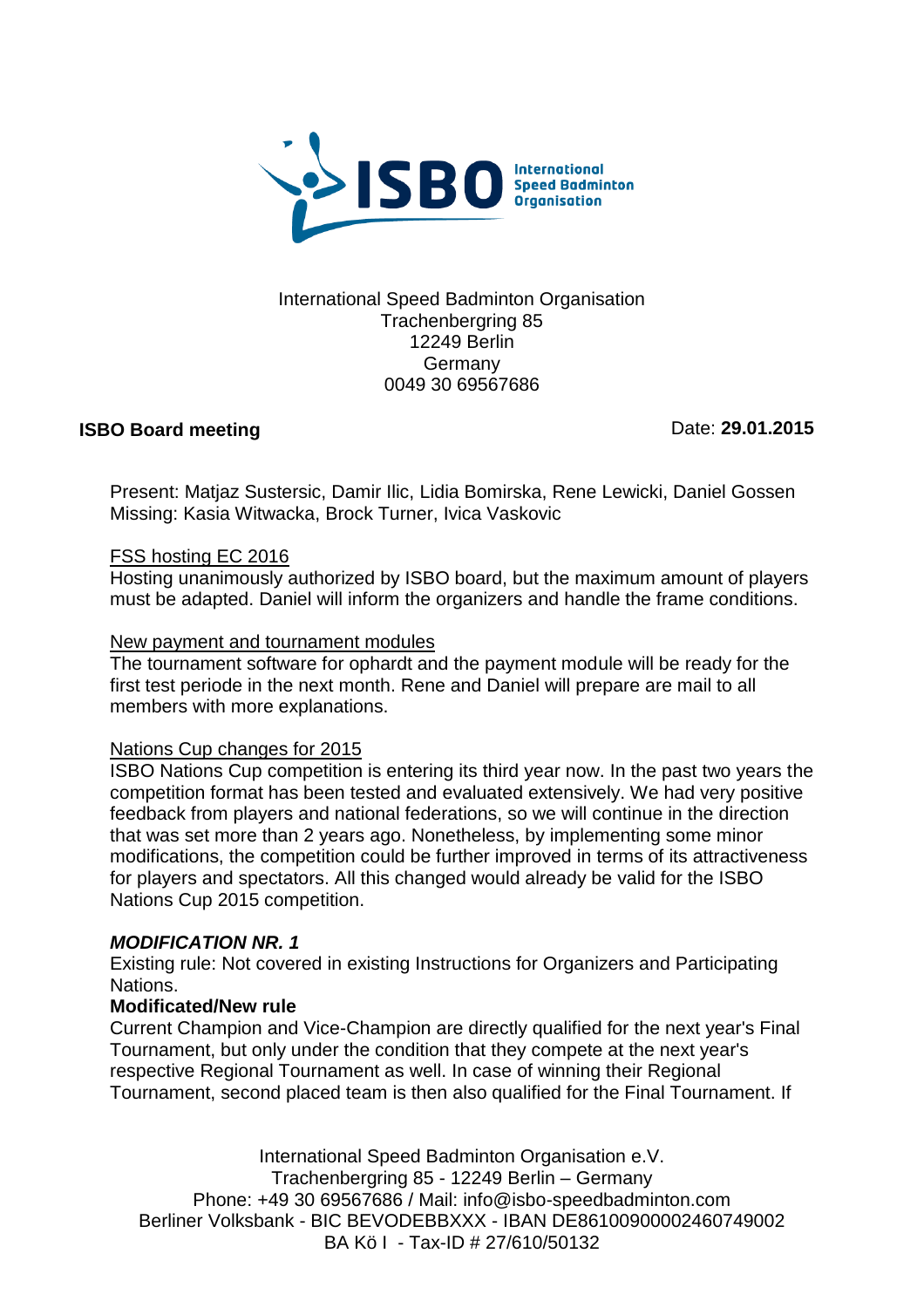

#### International Speed Badminton Organisation Trachenbergring 85 12249 Berlin **Germany** 0049 30 69567686

## **ISBO Board meeting**

Date: **29.01.2015**

Present: Matjaz Sustersic, Damir Ilic, Lidia Bomirska, Rene Lewicki, Daniel Gossen Missing: Kasia Witwacka, Brock Turner, Ivica Vaskovic

#### FSS hosting EC 2016

Hosting unanimously authorized by ISBO board, but the maximum amount of players must be adapted. Daniel will inform the organizers and handle the frame conditions.

#### New payment and tournament modules

The tournament software for ophardt and the payment module will be ready for the first test periode in the next month. Rene and Daniel will prepare are mail to all members with more explanations.

## Nations Cup changes for 2015

ISBO Nations Cup competition is entering its third year now. In the past two years the competition format has been tested and evaluated extensively. We had very positive feedback from players and national federations, so we will continue in the direction that was set more than 2 years ago. Nonetheless, by implementing some minor modifications, the competition could be further improved in terms of its attractiveness for players and spectators. All this changed would already be valid for the ISBO Nations Cup 2015 competition.

## *MODIFICATION NR. 1*

Existing rule: Not covered in existing Instructions for Organizers and Participating Nations.

## **Modificated/New rule**

Current Champion and Vice-Champion are directly qualified for the next year's Final Tournament, but only under the condition that they compete at the next year's respective Regional Tournament as well. In case of winning their Regional Tournament, second placed team is then also qualified for the Final Tournament. If

International Speed Badminton Organisation e.V. Trachenbergring 85 - 12249 Berlin – Germany Phone: +49 30 69567686 / Mail: info@isbo-speedbadminton.com Berliner Volksbank - BIC BEVODEBBXXX - IBAN DE86100900002460749002 BA Kö I - Tax-ID # 27/610/50132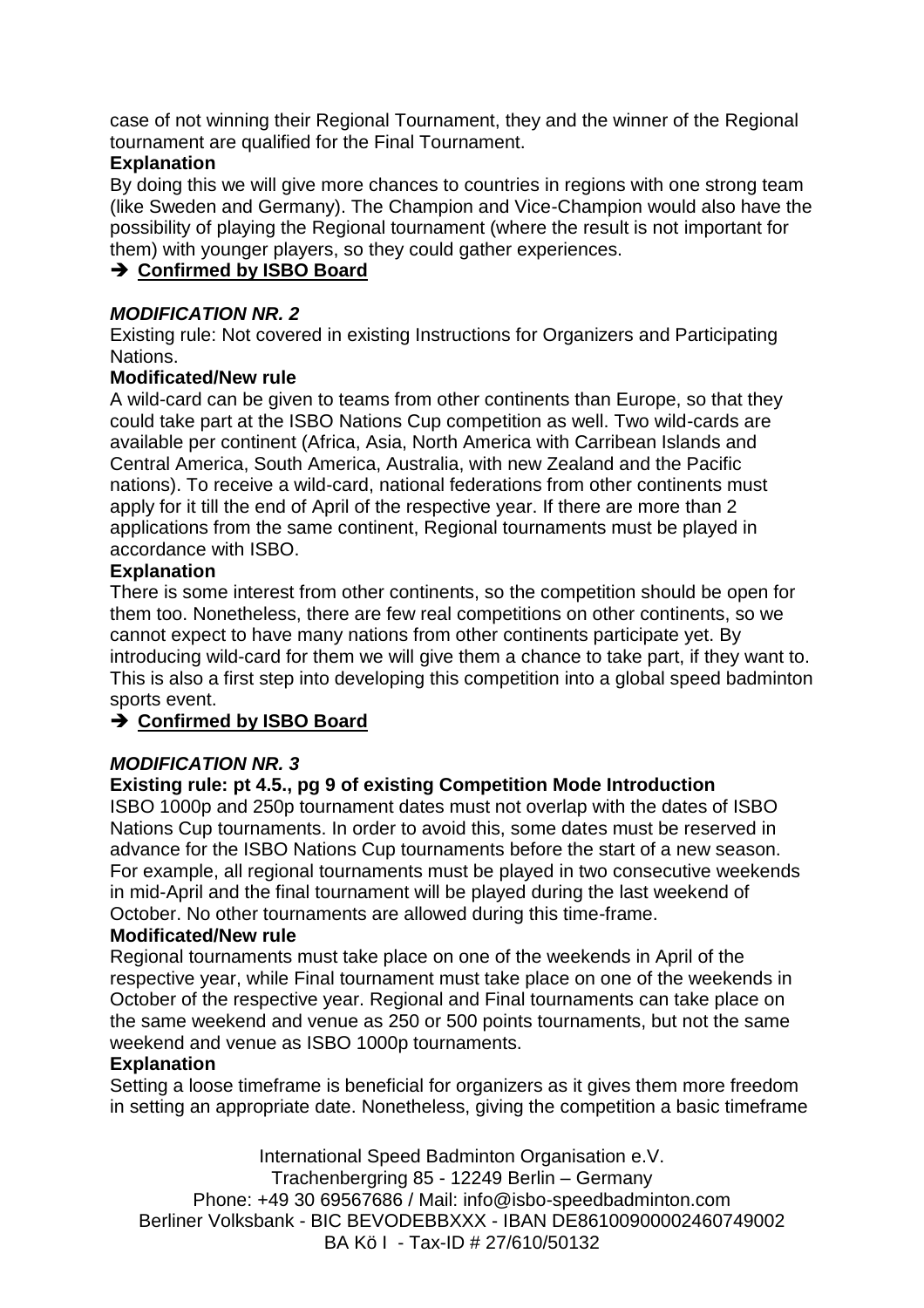case of not winning their Regional Tournament, they and the winner of the Regional tournament are qualified for the Final Tournament.

# **Explanation**

By doing this we will give more chances to countries in regions with one strong team (like Sweden and Germany). The Champion and Vice-Champion would also have the possibility of playing the Regional tournament (where the result is not important for them) with younger players, so they could gather experiences.

# **→ Confirmed by ISBO Board**

# *MODIFICATION NR. 2*

Existing rule: Not covered in existing Instructions for Organizers and Participating Nations.

## **Modificated/New rule**

A wild-card can be given to teams from other continents than Europe, so that they could take part at the ISBO Nations Cup competition as well. Two wild-cards are available per continent (Africa, Asia, North America with Carribean Islands and Central America, South America, Australia, with new Zealand and the Pacific nations). To receive a wild-card, national federations from other continents must apply for it till the end of April of the respective year. If there are more than 2 applications from the same continent, Regional tournaments must be played in accordance with ISBO.

## **Explanation**

There is some interest from other continents, so the competition should be open for them too. Nonetheless, there are few real competitions on other continents, so we cannot expect to have many nations from other continents participate yet. By introducing wild-card for them we will give them a chance to take part, if they want to. This is also a first step into developing this competition into a global speed badminton sports event.

# **→ Confirmed by ISBO Board**

# *MODIFICATION NR. 3*

## **Existing rule: pt 4.5., pg 9 of existing Competition Mode Introduction**

ISBO 1000p and 250p tournament dates must not overlap with the dates of ISBO Nations Cup tournaments. In order to avoid this, some dates must be reserved in advance for the ISBO Nations Cup tournaments before the start of a new season. For example, all regional tournaments must be played in two consecutive weekends in mid-April and the final tournament will be played during the last weekend of October. No other tournaments are allowed during this time-frame.

## **Modificated/New rule**

Regional tournaments must take place on one of the weekends in April of the respective year, while Final tournament must take place on one of the weekends in October of the respective year. Regional and Final tournaments can take place on the same weekend and venue as 250 or 500 points tournaments, but not the same weekend and venue as ISBO 1000p tournaments.

## **Explanation**

Setting a loose timeframe is beneficial for organizers as it gives them more freedom in setting an appropriate date. Nonetheless, giving the competition a basic timeframe

International Speed Badminton Organisation e.V. Trachenbergring 85 - 12249 Berlin – Germany Phone: +49 30 69567686 / Mail: info@isbo-speedbadminton.com Berliner Volksbank - BIC BEVODEBBXXX - IBAN DE86100900002460749002 BA Kö I - Tax-ID # 27/610/50132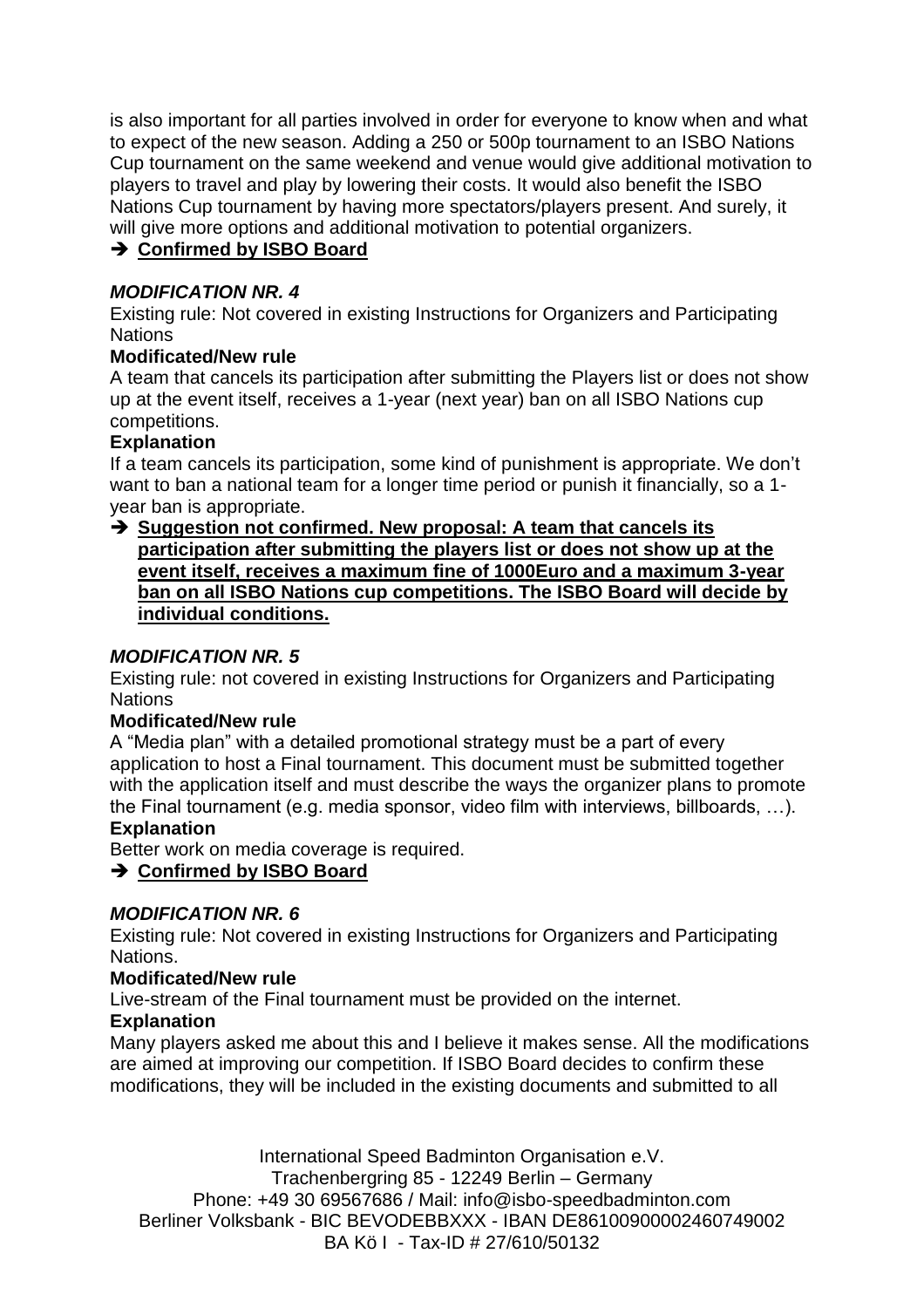is also important for all parties involved in order for everyone to know when and what to expect of the new season. Adding a 250 or 500p tournament to an ISBO Nations Cup tournament on the same weekend and venue would give additional motivation to players to travel and play by lowering their costs. It would also benefit the ISBO Nations Cup tournament by having more spectators/players present. And surely, it will give more options and additional motivation to potential organizers.

# **→ Confirmed by ISBO Board**

## *MODIFICATION NR. 4*

Existing rule: Not covered in existing Instructions for Organizers and Participating **Nations** 

## **Modificated/New rule**

A team that cancels its participation after submitting the Players list or does not show up at the event itself, receives a 1-year (next year) ban on all ISBO Nations cup competitions.

## **Explanation**

If a team cancels its participation, some kind of punishment is appropriate. We don't want to ban a national team for a longer time period or punish it financially, so a 1year ban is appropriate.

## **→ Suggestion not confirmed. New proposal: A team that cancels its participation after submitting the players list or does not show up at the event itself, receives a maximum fine of 1000Euro and a maximum 3-year ban on all ISBO Nations cup competitions. The ISBO Board will decide by individual conditions.**

## *MODIFICATION NR. 5*

Existing rule: not covered in existing Instructions for Organizers and Participating Nations

## **Modificated/New rule**

A "Media plan" with a detailed promotional strategy must be a part of every application to host a Final tournament. This document must be submitted together with the application itself and must describe the ways the organizer plans to promote the Final tournament (e.g. media sponsor, video film with interviews, billboards, …).

## **Explanation**

Better work on media coverage is required.

## **→ Confirmed by ISBO Board**

## *MODIFICATION NR. 6*

Existing rule: Not covered in existing Instructions for Organizers and Participating Nations.

## **Modificated/New rule**

Live-stream of the Final tournament must be provided on the internet.

## **Explanation**

Many players asked me about this and I believe it makes sense. All the modifications are aimed at improving our competition. If ISBO Board decides to confirm these modifications, they will be included in the existing documents and submitted to all

International Speed Badminton Organisation e.V. Trachenbergring 85 - 12249 Berlin – Germany Phone: +49 30 69567686 / Mail: info@isbo-speedbadminton.com Berliner Volksbank - BIC BEVODEBBXXX - IBAN DE86100900002460749002 BA Kö I - Tax-ID # 27/610/50132